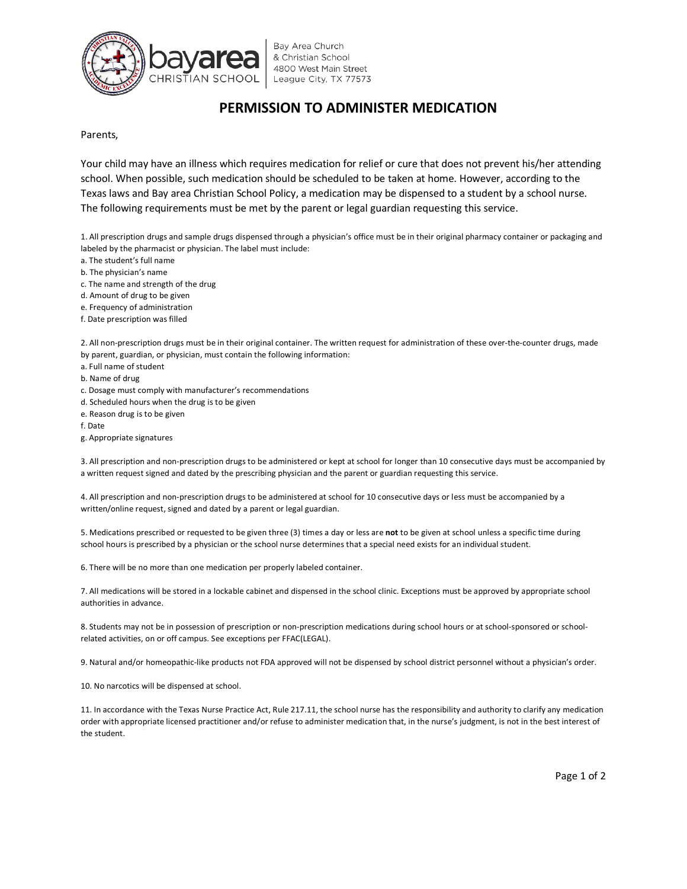

Bay Area Church & Christian School 4800 West Main Street League City, TX 77573

## **PERMISSION TO ADMINISTER MEDICATION**

Parents,

Your child may have an illness which requires medication for relief or cure that does not prevent his/her attending school. When possible, such medication should be scheduled to be taken at home. However, according to the Texas laws and Bay area Christian School Policy, a medication may be dispensed to a student by a school nurse. The following requirements must be met by the parent or legal guardian requesting this service.

1. All prescription drugs and sample drugs dispensed through a physician's office must be in their original pharmacy container or packaging and labeled by the pharmacist or physician. The label must include:

- a. The student's full name
- b. The physician's name
- c. The name and strength of the drug
- d. Amount of drug to be given
- e. Frequency of administration
- f. Date prescription was filled

2. All non-prescription drugs must be in their original container. The written request for administration of these over-the-counter drugs, made by parent, guardian, or physician, must contain the following information:

- a. Full name of student
- b. Name of drug
- c. Dosage must comply with manufacturer's recommendations
- d. Scheduled hours when the drug is to be given
- e. Reason drug is to be given
- f. Date
- g. Appropriate signatures

3. All prescription and non-prescription drugs to be administered or kept at school for longer than 10 consecutive days must be accompanied by a written request signed and dated by the prescribing physician and the parent or guardian requesting this service.

4. All prescription and non-prescription drugs to be administered at school for 10 consecutive days or less must be accompanied by a written/online request, signed and dated by a parent or legal guardian.

5. Medications prescribed or requested to be given three (3) times a day or less are **not** to be given at school unless a specific time during school hours is prescribed by a physician or the school nurse determines that a special need exists for an individual student.

6. There will be no more than one medication per properly labeled container.

7. All medications will be stored in a lockable cabinet and dispensed in the school clinic. Exceptions must be approved by appropriate school authorities in advance.

8. Students may not be in possession of prescription or non-prescription medications during school hours or at school-sponsored or schoolrelated activities, on or off campus. See exceptions per FFAC(LEGAL).

9. Natural and/or homeopathic-like products not FDA approved will not be dispensed by school district personnel without a physician's order.

10. No narcotics will be dispensed at school.

11. In accordance with the Texas Nurse Practice Act, Rule 217.11, the school nurse has the responsibility and authority to clarify any medication order with appropriate licensed practitioner and/or refuse to administer medication that, in the nurse's judgment, is not in the best interest of the student.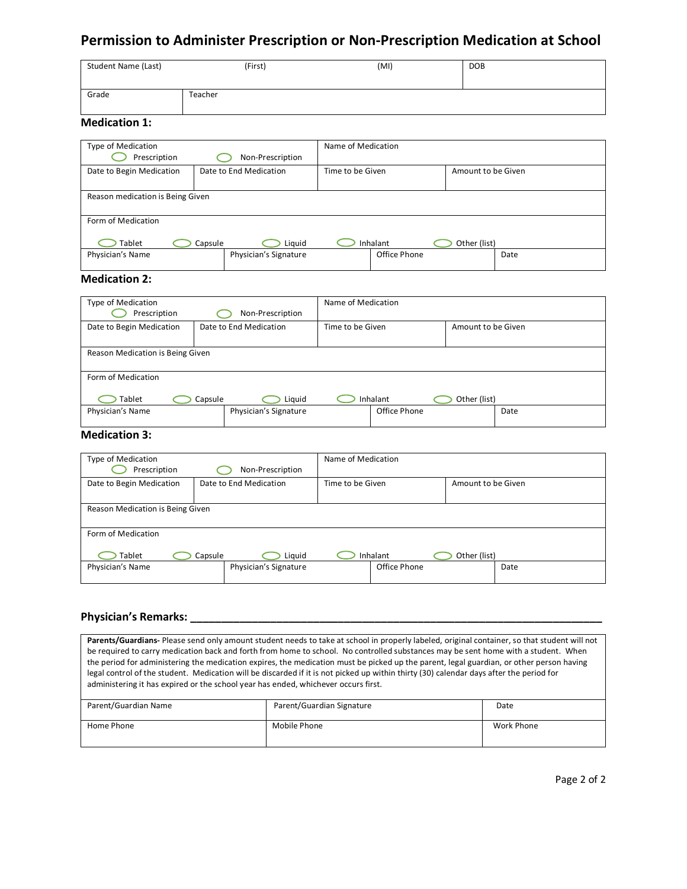# **Permission to Administer Prescription or Non-Prescription Medication at School**

| <b>Student Name (Last)</b> | (First) | (MI) | <b>DOB</b> |
|----------------------------|---------|------|------------|
| Grade                      | Teacher |      |            |

### **Medication 1:**

| Type of Medication<br>Prescription |         | Non-Prescription       | Name of Medication |              |                    |      |
|------------------------------------|---------|------------------------|--------------------|--------------|--------------------|------|
| Date to Begin Medication           |         | Date to End Medication | Time to be Given   |              | Amount to be Given |      |
| Reason medication is Being Given   |         |                        |                    |              |                    |      |
| Form of Medication                 |         |                        |                    |              |                    |      |
| Tablet                             | Capsule | Liquid                 |                    | Inhalant     | Other (list)       |      |
| Physician's Name                   |         | Physician's Signature  |                    | Office Phone |                    | Date |

## **Medication 2:**

| Type of Medication<br>Prescription |         | Non-Prescription       | Name of Medication |              |                    |      |
|------------------------------------|---------|------------------------|--------------------|--------------|--------------------|------|
| Date to Begin Medication           |         | Date to End Medication | Time to be Given   |              | Amount to be Given |      |
| Reason Medication is Being Given   |         |                        |                    |              |                    |      |
| Form of Medication                 |         |                        |                    |              |                    |      |
| Tablet                             | Capsule | Liguid                 |                    | Inhalant     | Other (list)       |      |
| Physician's Name                   |         | Physician's Signature  |                    | Office Phone |                    | Date |

### **Medication 3:**

| Type of Medication<br>Prescription | Non-Prescription       | Name of Medication |                    |
|------------------------------------|------------------------|--------------------|--------------------|
| Date to Begin Medication           | Date to End Medication | Time to be Given   | Amount to be Given |
| Reason Medication is Being Given   |                        |                    |                    |
| Form of Medication                 |                        |                    |                    |
| Tablet                             | Capsule<br>Liguid      | Inhalant           | Other (list)       |
| Physician's Name                   | Physician's Signature  | Office Phone       | Date               |

### Physician's Remarks:

**Parents/Guardians-** Please send only amount student needs to take at school in properly labeled, original container, so that student will not be required to carry medication back and forth from home to school. No controlled substances may be sent home with a student. When the period for administering the medication expires, the medication must be picked up the parent, legal guardian, or other person having legal control of the student. Medication will be discarded if it is not picked up within thirty (30) calendar days after the period for administering it has expired or the school year has ended, whichever occurs first.

| Parent/Guardian Name | Parent/Guardian Signature | Date       |
|----------------------|---------------------------|------------|
| Home Phone           | Mobile Phone              | Work Phone |